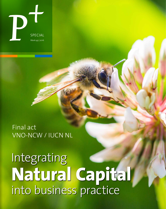SPECIAL<br>SPECIAL<br>Week49|2016 special Week 49 | 2016

> Final act VNO-NCW / IUCN NL

**Natural Capital** into business practice Integrating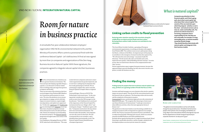**2**

## VNO-NCW / IUCN NL **Integration natural capital**

# Room for nature in business practice

A remarkable five-year collaboration between employers' organization VNO-NCW, environmental network IUCN, and the Ministry of Economic Affairs came to a provisional finish with the conference *Natural Capital - Let's talk business!* A final act was signed by more than 70 companies and organizations of the Den Haag Business Accord on Natural Capital. With these signatures, the companies agreed to integrate natural capital into their businesses practices.

The Port of Amsterdam sees a business case for a greener business environment. The Testa startup is developing vegetable Omega-3 capsules, as an alternative to fish oil. Suiker Unie is working with 9,000 sugar beet growers to improve soil fertility.

These are just some of the initiatives that have received support from Platform BEE (Biodiversity, Ecosystems and Economics) in recent years. The aim of the platform was to encourage companies to engage actively with their impact on natural resources, to gain insight into dependency and exploit new opportunities. To this end, a [quick scan](http://naturalcapitalquickscan.com/en) and a [biodiversity](https://www.bioscope.info/) [test](https://www.bioscope.info/) were developed and a [helpdesk](http://www.helpdesknatuurlijkkapitaal.nl/) was set up. More than a hundred companies received advice from parties such as Arcadis and Nyenrode. Dozens of companies received funding for innovative projects. The [Natural Captains](http://www.naturalcaptains.nl/#/) programme brought leaders into contact with one another.

Cees Oudshoorn, Managing Director of VNO-NCW, looks back with satisfaction. "The cooperation between companies and nature conservation organizations has greatly improved, and we now have a solid group of companies that have made good progress with this. We are continuing to support this, and we want the Natural Captains to inspire others at regional level."

Coenraad Krijger, Director of IUCN The Netherlands, wants much more. "In the coming period, consideration of natural capital needs to move from the CSR managers to the boardrooms." Like Oudshoorn he is convinced of the importance of the Natural Capital Protocol presented last year. Krijger calls it "a potential game changer." Oudshoorn agrees with this. "Companies need to know the facts about their own environmental footprints. The Protocol makes this possible, and companies can now take action on that basis. We will recommend this to our members, and it should be done internationally as well. The Natural Capital Protocol should become a European Agreement."

# **Finding the money**

**Finding money for projects that aim to enhance natural capital is not easy, yet there are a growing number of funds that focus on this.**

Investors and fund managers are wary of projects that aim for a positive impact on natural capital. They do not fit the conventional pattern and the financial risks are unknown. The financing is often also too small, and the complexity of the projects too great.

[Commonland](http://www.commonland.com/en) focuses a professional approach on to the restoration of degraded landscapes. "We recognize this: financing is a brain teaser" says Simon Moolenaar of Commonland. "Landscape restoration is about different activities, where the most appropriate forms of finance vary."

The good news is that more funds are now becoming available for investment in projects with an integrated area approach, for example, AATIF, New Forests, Ecosystem Investment Partners and Althelia. This is evident from Enclude's Missing Link research, which was commissioned by the BEE Platform and will be published soon. Enclude advises against betting only on a single investment fund. Mixed financing is a preferable alternative, and for example, subsidy for the development phase can attract private money for a project.

# What is natural capital?

**Companies pay attention to their financial capital, and if that is going well, also to their social capital. But what about their natural capital? This consists of the raw materials upon which they depend - whether or not in the chain - and natural services such as clean air, water and healthy soils. The pressure on natural resources is increasing. Companies share a responsability for this. But they are also vulnerable, for example, to rising commodity prices, or extreme weather caused by climate change. They should therefore deal wisely with natural capital, and integrate it into their business models.**

**Linking carbon credits to flood prevention** 

#### Risks and liabilities

"The global environmental problems we face will radically change the way we do business. The bottom line for business people is that systemic risks are changing, and liabilities are rising. Major recent international initiatives like Agenda 2030 and the Paris Agreement on Climate Change all rely heavily on corporate voluntarism. So step up to it, guys!"

Sarah Cornell, coordinator of the Planetary Boundaries Research Laboratory, part of the Stockholm Resilience Centre

- 
- 
- 

Entrepreneurs need to be much more aware of the importance of nature for their business.

The use of bamboo as an alternative for tropical hardwood helps to conserve forests

- 
- 



**Restoring water retention capacity in the mountains along the middle Rhine can help to prevent floods and store carbon. By buying these carbons credits, business can contribute to river restoration.** 

The Green Rhine Corridor Coalition, a grouping of European environmental organizations, is working on this plan with support from Platform BEE. The coalition wants to start a pilot project along the Mosel, a tributary of the Rhine. An important part of the project is to contribute to the emergence of natural marshes that capture  $CO<sub>2</sub>$ . "We will assess the costs and earnings," says project leader Els Otterman. "On the income side, there are benefits such as the improved water quality, reduced flooding and more tourism." In terms of cost, there are land owners who have to be compensated for their 'blue' services.

Nature organizations expect support from governments, because this approach helps to prevent flooding, but they also want to involve companies, to make the business case clear.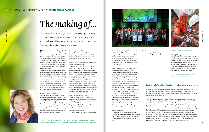**5**

P+ **week 49 | 2016**

**4**



# The making of…

Eveline Trines, Secretary of Platform BEE: "If the government comes up with legislation to create an enabling environment for businesses, a voluntary agreement such as this will be embraced more quickly."

"It was a delicate process," says Eveline Trines, secretary of Platform BEE, and responsible for the realization of the [Business Accord](http://www.conference-naturalcapital.nl/upload/files/Den Haag Business Accord on Natural Capital 24-11-2016.pdf). The agreement was not imposed from above, but arose in the workplace. That makes it a special agreement in her eyes.

The signatories are a mix of large and small<br>companies from all sectors, with varying impacts on natural capital. "It is the awareness that in the long term this is the right path." Trines is "very happy" with the signature of a number of financial institutions as an incentive for greener investment portfolios. "The fact that they became involved shows that it is an important agreement which will help the parties move forward."

The Accord is voluntary, and nobody can enforce fulfillment of the promises. Trines would like to see more active preparations from the government in this area. "If the government comes up with legislation to create an enabling environment for businesses, a voluntary agreement such as this will be embraced more quickly." But she tones down expectations in view of the forthcoming parliamentary elections in March 2017: "Everything is pretty much on hold in terms of regulation."

Why should companies sign this Accord?

"Most companies do it because it's the right thing to do. They are the frontrunners. They often have an intrinsic motivation: they want to make the world a better place for generations to come, and they realize that they cannot continue in the old way anymore. We are pushing the limits of what the planet can tolerate, and in some areas we have exceeded these boundaries. By signing the agreement they opt for future-proof business. "

More than 70 companies and organizations signed the Den Haag Business Accord on Natural Capital.

How can the peloton reach the frontrunners? "I hope this will set an example. There is a lot happening already, also internationally. By being part of this network, companies and organizations can find each other."

The Accord was signed by various parties. Was it difficult to unite them in this agreement? "Yes absolutely. There were basically three

groups with different interests. To start with, the companies that eventually have to implement the Accord. They should take actions that fit into their business and budgets. Then the green organizations, which set the bar as high as possible. And finally, financial institutions, research institutes and consultants who have no direct impact themselves on natural capital. They are not, so to speak, in the driver's seat. The point was to find a good balance between those different requirements, and we managed to sign up both large and small businesses, and national and international organizations."

Have you been able to please everyone? "No one is totally happy with a consensus document, by definition. Some parties find it too light, while others find it a huge commitment that is difficult to make. It should not be forgotten that this is a big step now, but in afew years it will be the norm."

What was particularly sensitive? "The word commitment. This has potential legal

#### The Den Haag Business Accord on **Natural Capital**  >

implications, especially for large companies with American DNA. Some companies let it weigh heavily, others take it more easily. The agreement states that the steps that the companies take should fit into their businesses, and they can choose the speed of implementation according to their capacity . This has reassured them."

Let's talk business!

The BEE platform is stopping. It has been the coordinator and driver of activities over the past five years. "Unfortunately, the platform is stopping, but many initiatives will continue, such as the tools we have developed, which are still available, and the website [www.natuurlijk](http://www.natuurlijkkapitaal.com)  [kapitaal.com](http://www.natuurlijkkapitaal.com). Provinces such as Overijssel, Gelderland and Noord-Brabant are getting to work with natural capital and building networks. The Ministry of Economic Affairs is also starting work on a new Green Deal initiative, this time with a broader coalition. This of course includes VNO-NCW and IUCN The Netherlands, but now also the Dutch Institute of Chartered Accountants and De Nederlandsche Bank. Then the major parties will be united in one alliance. Other business cases are being considered, such as the creation of a foundation to facilitate the Natural Captains business network and the signatories of the Business Accord."

#### And until that happens?

"Until then, we will guard the heritage and contents of the BEE platform to allow a smooth and easy change, hopefully towards the radical transition that is necessary for us and the planet."



#### Ecologists at Heijmans

"It's my job to inspire our customers and employees. We have recruited eight ecologists, and initially they were seen as kind of aliens in our company. But they are able to bring the different interests and values together. Look at the A12 motorway; we have widened the road and at the same time succeeded in creating more natural value. These examples show what we can do, and they inspire potential new customers."

Heleen Herbert, chief commercial officer of construction company Heijmans

## **Natural Capital Protocol already a success**

**Companies that want insight into their relationship with natural capital are increasingly using the [Natural Capital Protocol](http://naturalcapitalcoalition.org/protocol/) (NCP). Over a short period, this protocol has become an indispensable tool for the clarification, measurement and evaluation of this relationship.** 

The NCP consists of ten steps a company should take when assessing its impact and dependence on natural capital. The objective is to enable companies to assess their direct and indirect interactions with natural capital, to allow better management and participation in business decisions. The NCP is applicable in all sectors. The protocol was established earlier this year, following an international process with the participation of companies, governments, research institutes and NGOs. The editors did not want to develop yet another new instrument, says Mark Gough, director of the Natural Capital Coalition. "The NCP harmonizes existing approaches and systems." According to Gough, the strong point of the NCP is that it helps companies make better decisions. "Most managers want to leave the world a better place, but they have to work with standards and systems that are difficult to compare, such as the Sustainable Development Goals and ISO standards. The NCP can help them with this."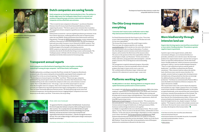

P+ **week 49 | 2016**

**6**

- + Text Hans van de Veen, Han van de Wiel (ImpactReporters)
	- + English editor Simon Delaney + [Photography Parners of Platform BEE, Wilmar Dik / Platform BEE](www.p-plus.nl)
	- + Art direction Boudewijn Boer + Studio 10
	- + Publisher Atticus b.v.
	- +[www.p-plus.nl](http://www.p-plus.nl)

# **Platforms working together**

### **The BEE platform is not alone. Working platforms to integrate natural capital into business practice exist in several countries.**

An example is the [India Business and Biodiversity Initiative](http://businessbiodiversity.in/) (IBBI) of the Indian employers' organization CII. Companies such as Tata, Ricoh and L'Oréal have signed the ten-point declaration of principles. IBBI provides training and develops tools to measure impact and dependencies. These tools are not public as they require customization based on the project requirements, which will help IBBI in generating revenue.

[Biodiversity in Good Company](http://www.business-and-biodiversity.de/en/) is a German initiative. "We are primarily a discussion platform," says Caroline Bossmeyer. The initiative coordinates the German national strategy for biodiversity, in which government, NGOs, businesses and knowledge institutions work together. Lars Müller is responsible for this area in the European Union. "We are a small agency," he says, "but we are close to the decision makers, and therefore we have influence."At the same time he acknowledges a dependence on what companies want to share with the EU. [The European Business and Biodiversity](http://ec.europa.eu/environment/biodiversity/business/index_en.htm) (B@B) Platform helps develop tools and describes best case studies in companies. "We want to continue with what you have developed," Muller says to the Dutch BEE Platform. To put that into effect, he has promised to invite all European platforms for consultations in Brussels in the short term.

# **Dutch companies are saving forests**

**Dutch companies are investing in forest protection in Peru. The solution is a double-edged sword: the Tambopata tropical forest is conserved, and avoidance of greenhouse gas emissions create emissions allowances. Companies can thus offset their own emissions.** 

"There is room for more companies in this project", says director Marjolein Demmers from De Groene Zaak (Dutch Sustainable Business) which is supporting the project. "The forest captures more emissions than we produce. The engagement of more companies is good because of the urgency of the climate problem."

Deforestation accounts for 17 percent of global greenhouse gas emissions. In the Paris Climate Agreement, combating deforestation takes an important place under the name REDD+ (Reduced Emissions from Deforestation and Forest Degradation). Through the [REDD+ Business Initiative,](http://www.platformbee.nl/redd/en/) energy companies Essent and Eneco, Desso (part of Tarkett flooring specialist), the FMO development bank and cocoa trader Cocoanect, invest voluntarily in REDD+ projects. They thus contribute to climate change mitigation, biodiversity conservation and livelihood support of local people in developing countries. REDD+ projects are rigorously tested and monitored, not only for  $CO<sub>2</sub>$  emissions, but also for the benefits they bring to nature and local people. The Tambopata project will help with the initiation of cocoa plantations. That should prevent further deforestation for livestock grazing.

# **More biodiversity through intensive land use**

**Organic dairy farming requires more land than conventional or more nature-friendly production. This produces a greater negative impact on grasslands.** 

A positive aspect is that organic farmers, unlike their conventional colleagues, use no chemical fertilizers or pesticides, and observe strict rules for nature. But their land produces less: organic farmers need 11 percent more acreage to achieve an equivalent milk production. On the other hand, nature-friendly production, which is in between conventional and organic, leads to a 7 percent smaller biological footprint. "There is a trade-off between land area and the quality of biodiversity," says Wilbert van Rooij from the Plansup consultancy. "More intensive land use reduces the need for land, which leaves more room for nature elsewhere. For example, extensive land use in organic dairy farming increases the biodiversity of the grassland, but that does not outweigh the additional land use needed to achieve the same production." Van Rooij was commissioned by Platform BEE to assess the biodiversity footprints of thirteen companies. His report will soon be available.

This 'inconvenient truth' is the case for almost all companies surveyed that use crops. Timber company Foreco, for example, wants to know whether its NobelWood product, an alternative to tropical hardwoods, can be sourced from semi-natural forests in Germany, instead of from production in New Zealand. The yield per hectare in the German forests appears to be much lower than for New Zealand plantation timber. If Foreco wants to keep its biodiversity footprint small, then the timber can better be bought from far away, despite transport. Van Rooij explains: "The footprint is smaller with multiple economic uses of the forest. Revenues for nature conservation and recreation can reduce the footprint of the German timber."

# **Transparent annual reports**

**Dutch companies are at the forefront of reporting on their value creation, according to research by EY among 26 major companies - half of them Dutch, half European.** 

Possible explanations, according to researcher Roel Drost, include the Transparency Benchmark, an annual study of the content and quality of sustainability reporting by Dutch companies, and the Crystal Prize in the area of social reporting. "The Netherlands is at the forefront." "The development of annual reports is incredible," says Drost. "Fifteen years ago, companies published boring annual reports with a one-year horizon, only about their financial assets. They included nothing on the value created by the company in other areas, such as human or natural capital. That is totally different now." On average, 17 per cent of the annual report in 1975 was about the intangible values of a company, where now it is 80 percent. Of the 26 companies surveyed, just slightly fewer than half reported on their impact and dependency on natural capital. There are major noteworthy differences between sectors. The food and beverage sector scores well in terms of transparency, but the pharmaceutical sector is lagging behind. Companies in one sector keep an eye on the others, says Drost. "If one moves, the rest go along."



#### OUR OWN DICTIONARY

"An agreement like this is only possible in the Netherlands. You do not see this kind of cooperation between companies, NGOs and the government in other countries. This is exactly what we need. With the Natural Capital protocol we have for the first time a common methodology and a private dictionary, and now we also have a community of companies and organizations that will put it into practice. (...) But the message for business is not easy. This is not a modest change. A radical system change is necessary to stop the race to the abyss."

Peter Bakker, president of the World Business Council for Sustainable Development

# **The Otto Group measures everything**

#### **"Consumers don't want an extra certification mark or label. They need assurance that all of our products are in order."**

For Daniel Hussmann from the Otto Group it is clear: "Every time we put a label on something, the sales collapse. This does not work. It is our own responsibility."

The German Otto Group is one of the world's largest retailers. Three years ago, the company opted for a far-reaching [sustainability policy](http://www.ottogroup.com/en/verantwortung/) which extends over the entire chain, from raw material extraction to the recycling of end products. To achieve this, they designed a system to measure social and environmental impacts, and to monitor the effectiveness of the measures taken. The answer to the question of where the responsibility of the Otto Group begins is simple, says Hussmann: "On the cotton field, in timber cultivation, energy generation and consumption - and with people in factories. We see the big picture and set demanding targets."

The management is regularly informed of progress. Meanwhile, the Otto Group uses 27 percent sustainable cotton in all textile products (the target is 100 per cent by 2020), 43 per cent FSC-certified wood in all furniture (target: 100 percent) and achieved a CO2 reduction of 27 percent target: -50 per cent).

Cocoa plantations allow the population to counteract deforestation

The footprint of wood from New Zealand is smaller than comparable wood from Germany.



>